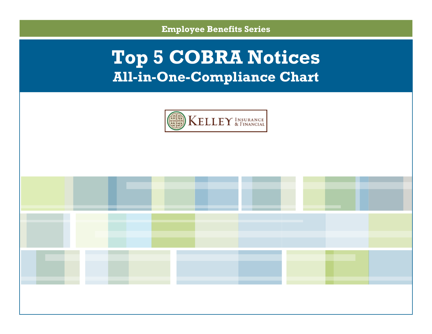**Employee Benefits Series**

# **Top 5 COBRA Notices All-in-One-Compliance Chart**



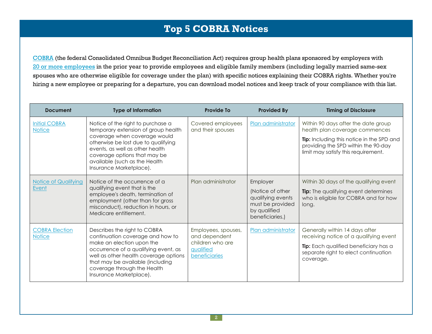## **Top 5 COBRA Notices**

[COBRA](https://www.dol.gov/dol/topic/health-plans/cobra.htm) (the federal Consolidated Omnibus Budget Reconciliation Act) requires group health plans sponsored by employers with 20 or more [employees](http://www.dol.gov/ebsa/publications/cobraemployer.html#2) in the prior year to provide employees and eligible family members (including legally married same-sex spouses who are otherwise eligible for coverage under the plan) with specific notices explaining their COBRA rights. Whether you're hiring a new employee or preparing for a departure, you can download model notices and keep track of your compliance with this list.

| <b>Document</b>                        | <b>Type of Information</b>                                                                                                                                                                                                                                                     | <b>Provide To</b>                                                                      | <b>Provided By</b>                                                                                       | <b>Timing of Disclosure</b>                                                                                                                                                                      |
|----------------------------------------|--------------------------------------------------------------------------------------------------------------------------------------------------------------------------------------------------------------------------------------------------------------------------------|----------------------------------------------------------------------------------------|----------------------------------------------------------------------------------------------------------|--------------------------------------------------------------------------------------------------------------------------------------------------------------------------------------------------|
| <b>Initial COBRA</b><br><b>Notice</b>  | Notice of the right to purchase a<br>temporary extension of group health<br>coverage when coverage would<br>otherwise be lost due to qualifying<br>events, as well as other health<br>coverage options that may be<br>available (such as the Health<br>Insurance Marketplace). | Covered employees<br>and their spouses                                                 | Plan administrator                                                                                       | Within 90 days after the date group<br>health plan coverage commences<br>Tip: Including this notice in the SPD and<br>providing the SPD within the 90-day<br>limit may satisfy this requirement. |
| <b>Notice of Qualifying</b><br>Event   | Notice of the occurrence of a<br>qualifying event that is the<br>employee's death, termination of<br>employment (other than for gross<br>misconduct), reduction in hours, or<br>Medicare entitlement.                                                                          | Plan administrator                                                                     | Employer<br>(Notice of other<br>qualifying events<br>must be provided<br>by qualified<br>beneficiaries.) | Within 30 days of the qualifying event<br><b>Tip:</b> The qualifying event determines<br>who is eligible for COBRA and for how<br>long.                                                          |
| <b>COBRA Election</b><br><b>Notice</b> | Describes the right to COBRA<br>continuation coverage and how to<br>make an election upon the<br>occurrence of a qualifying event, as<br>well as other health coverage options<br>that may be available (including<br>coverage through the Health<br>Insurance Marketplace).   | Employees, spouses,<br>and dependent<br>children who are<br>qualified<br>beneficiaries | Plan administrator                                                                                       | Generally within 14 days after<br>receiving notice of a qualifying event<br>Tip: Each qualified beneficiary has a<br>separate right to elect continuation<br>coverage.                           |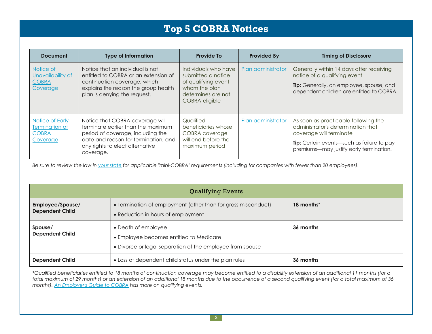# **Top 5 COBRA Notices**

| <b>Document</b>                                               | <b>Type of Information</b>                                                                                                                                                                         | <b>Provide To</b>                                                                                                          | <b>Provided By</b> | <b>Timing of Disclosure</b>                                                                                                                                                                    |
|---------------------------------------------------------------|----------------------------------------------------------------------------------------------------------------------------------------------------------------------------------------------------|----------------------------------------------------------------------------------------------------------------------------|--------------------|------------------------------------------------------------------------------------------------------------------------------------------------------------------------------------------------|
| Notice of<br>Unavailability of<br><b>COBRA</b><br>Coverage    | Notice that an individual is not<br>entitled to COBRA or an extension of<br>continuation coverage, which<br>explains the reason the group health<br>plan is denying the request.                   | Individuals who have<br>submitted a notice<br>of qualifying event<br>whom the plan<br>determines are not<br>COBRA-eligible | Plan administrator | Generally within 14 days after receiving<br>notice of a qualifying event<br>Tip: Generally, an employee, spouse, and<br>dependent children are entitled to COBRA.                              |
| Notice of Early<br>Termination of<br><b>COBRA</b><br>Coverage | Notice that COBRA coverage will<br>terminate earlier than the maximum<br>period of coverage, including the<br>date and reason for termination, and<br>any rights to elect alternative<br>coverage. | Qualified<br>beneficiaries whose<br>COBRA coverage<br>will end before the<br>maximum period                                | Plan administrator | As soon as practicable following the<br>administrator's determination that<br>coverage will terminate<br>Tip: Certain events-such as failure to pay<br>premiums-may justify early termination. |

Be sure to review the law in your [state](http://www.naic.org/state_web_map.htm) for applicable "mini-COBRA" requirements (including for companies with fewer than 20 employees).

| <b>Qualifying Events</b>                                                        |                                                                                                                             |                        |  |  |  |
|---------------------------------------------------------------------------------|-----------------------------------------------------------------------------------------------------------------------------|------------------------|--|--|--|
| Employee/Spouse/<br><b>Dependent Child</b>                                      | • Termination of employment (other than for gross misconduct)<br>• Reduction in hours of employment                         | 18 months <sup>*</sup> |  |  |  |
| Spouse/<br><b>Dependent Child</b>                                               | • Death of employee<br>• Employee becomes entitled to Medicare<br>• Divorce or legal separation of the employee from spouse | 36 months              |  |  |  |
| • Loss of dependent child status under the plan rules<br><b>Dependent Child</b> |                                                                                                                             | 36 months              |  |  |  |

\*Qualified beneficiaries entitled to 18 months of continuation coverage may become entitled to a disability extension of an additional 11 months (for a total maximum of 29 months) or an extension of an additional 18 months due to the occurrence of a second qualifying event (for a total maximum of 36 *months). An [Employer's](http://www.dol.gov/ebsa/publications/cobraemployer.html) Guide to COBRA has more on qualifying events.*